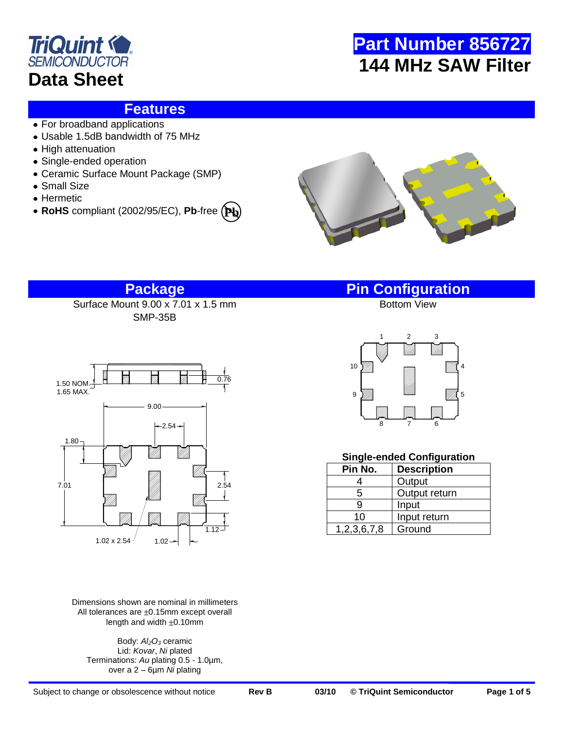



### **Features**

- For broadband applications
- Usable 1.5dB bandwidth of 75 MHz
- High attenuation
- Single-ended operation
- Ceramic Surface Mount Package (SMP)
- Small Size
- Hermetic
- **RoHS** compliant (2002/95/EC), **Pb**-free **Pb**



Surface Mount 9.00 x 7.01 x 1.5 mm SMP-35B



Dimensions shown are nominal in millimeters All tolerances are  $\pm 0.15$ mm except overall length and width  $\pm 0.10$ mm

Body: *Al2O<sup>3</sup>* ceramic Lid: *Kovar*, *Ni* plated Terminations: *Au* plating 0.5 - 1.0µm, over a 2 – 6µm *Ni* plating

**Package Pin Configuration**



### **Single-ended Configuration**

| Pin No.     | <b>Description</b> |
|-------------|--------------------|
|             | Output             |
| 5           | Output return      |
| 9           | Input              |
| 10          | Input return       |
| 1,2,3,6,7,8 | Ground             |

Subject to change or obsolescence without notice **Rev B 03/10 © TriQuint Semiconductor Page 1 of 5**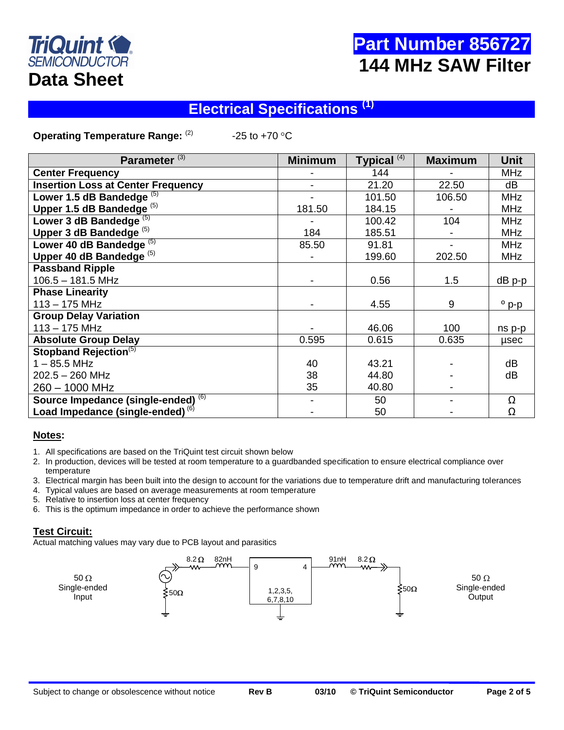

# **Part Number 856727 144 MHz SAW Filter**

# **Electrical Specifications (1)**

**Operating Temperature Range:** (2)  $-25$  to  $+70$  °C

| Parameter <sup>(3)</sup>                     | <b>Minimum</b> | Typical <sup>(4)</sup> | <b>Maximum</b> | <b>Unit</b>    |
|----------------------------------------------|----------------|------------------------|----------------|----------------|
| <b>Center Frequency</b>                      |                | 144                    |                | <b>MHz</b>     |
| <b>Insertion Loss at Center Frequency</b>    |                | 21.20                  | 22.50          | dB             |
| Lower 1.5 dB Bandedge $(5)$                  |                | 101.50                 | 106.50         | <b>MHz</b>     |
| Upper 1.5 dB Bandedge <sup>(5)</sup>         | 181.50         | 184.15                 |                | <b>MHz</b>     |
| Lower 3 dB Bandedge $(5)$                    |                | 100.42                 | 104            | <b>MHz</b>     |
| Upper 3 dB Bandedge <sup>(5)</sup>           | 184            | 185.51                 |                | <b>MHz</b>     |
| Lower 40 dB Bandedge <sup>(5)</sup>          | 85.50          | 91.81                  |                | <b>MHz</b>     |
| Upper 40 dB Bandedge <sup>(5)</sup>          |                | 199.60                 | 202.50         | <b>MHz</b>     |
| <b>Passband Ripple</b>                       |                |                        |                |                |
| $106.5 - 181.5$ MHz                          |                | 0.56                   | 1.5            | $dB$ p-p       |
| <b>Phase Linearity</b>                       |                |                        |                |                |
| $113 - 175$ MHz                              |                | 4.55                   | 9              | $^{\circ}$ p-p |
| <b>Group Delay Variation</b>                 |                |                        |                |                |
| $113 - 175$ MHz                              |                | 46.06                  | 100            | ns p-p         |
| <b>Absolute Group Delay</b>                  | 0.595          | 0.615                  | 0.635          | usec           |
| Stopband Rejection <sup>(5)</sup>            |                |                        |                |                |
| $1 - 85.5$ MHz                               | 40             | 43.21                  |                | dB             |
| 202.5 - 260 MHz                              | 38             | 44.80                  |                | dB             |
| 260 - 1000 MHz                               | 35             | 40.80                  |                |                |
| Source Impedance (single-ended) (6)          |                | 50                     |                | Ω              |
| Load Impedance (single-ended) <sup>(6)</sup> |                | 50                     |                | Ω              |

### **Notes:**

- 1. All specifications are based on the TriQuint test circuit shown below
- 2. In production, devices will be tested at room temperature to a guardbanded specification to ensure electrical compliance over temperature
- 3. Electrical margin has been built into the design to account for the variations due to temperature drift and manufacturing tolerances
- 4. Typical values are based on average measurements at room temperature
- 5. Relative to insertion loss at center frequency
- 6. This is the optimum impedance in order to achieve the performance shown

### **Test Circuit:**

Actual matching values may vary due to PCB layout and parasitics

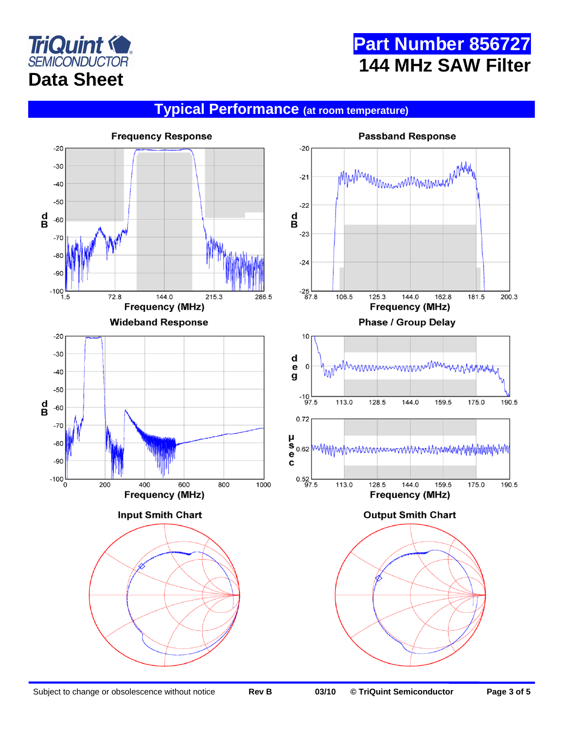



# **Typical Performance (at room temperature)**

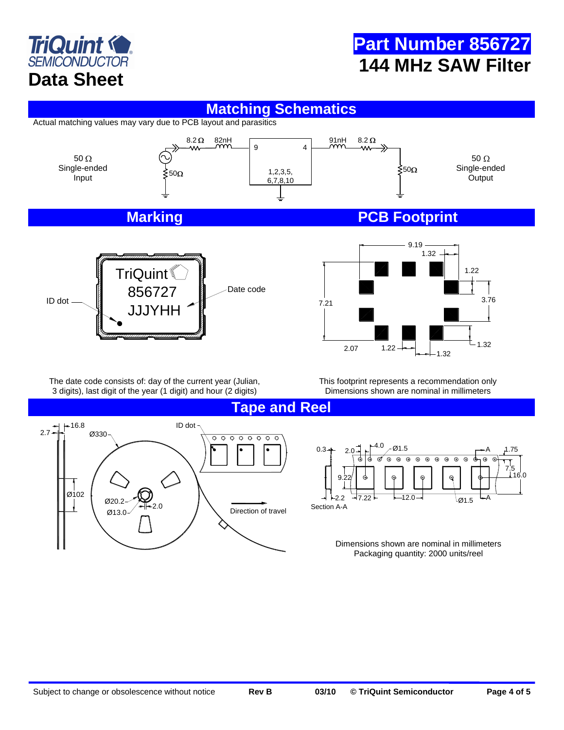

# **Part Number 856727 144 MHz SAW Filter**

### **Matching Schematics**

Actual matching values may vary due to PCB layout and parasitics



The date code consists of: day of the current year (Julian, 3 digits), last digit of the year (1 digit) and hour (2 digits)

This footprint represents a recommendation only Dimensions shown are nominal in millimeters

**Tape and Reel**



 $^{4.0}$   $\, \rho$  Ø1.5 0.3 A 1.75  $\odot$  $\odot$  $\Theta$  $\Theta$   $\Theta$   $\Theta$   $\Theta$  $\Theta$  $\Theta$ 7.5 16.0 9.22  $2.32$ 12.0  $\rightarrow$   $_{\oslash 1.5}$   $\rightarrow$  A Section A-A

> Dimensions shown are nominal in millimeters Packaging quantity: 2000 units/reel